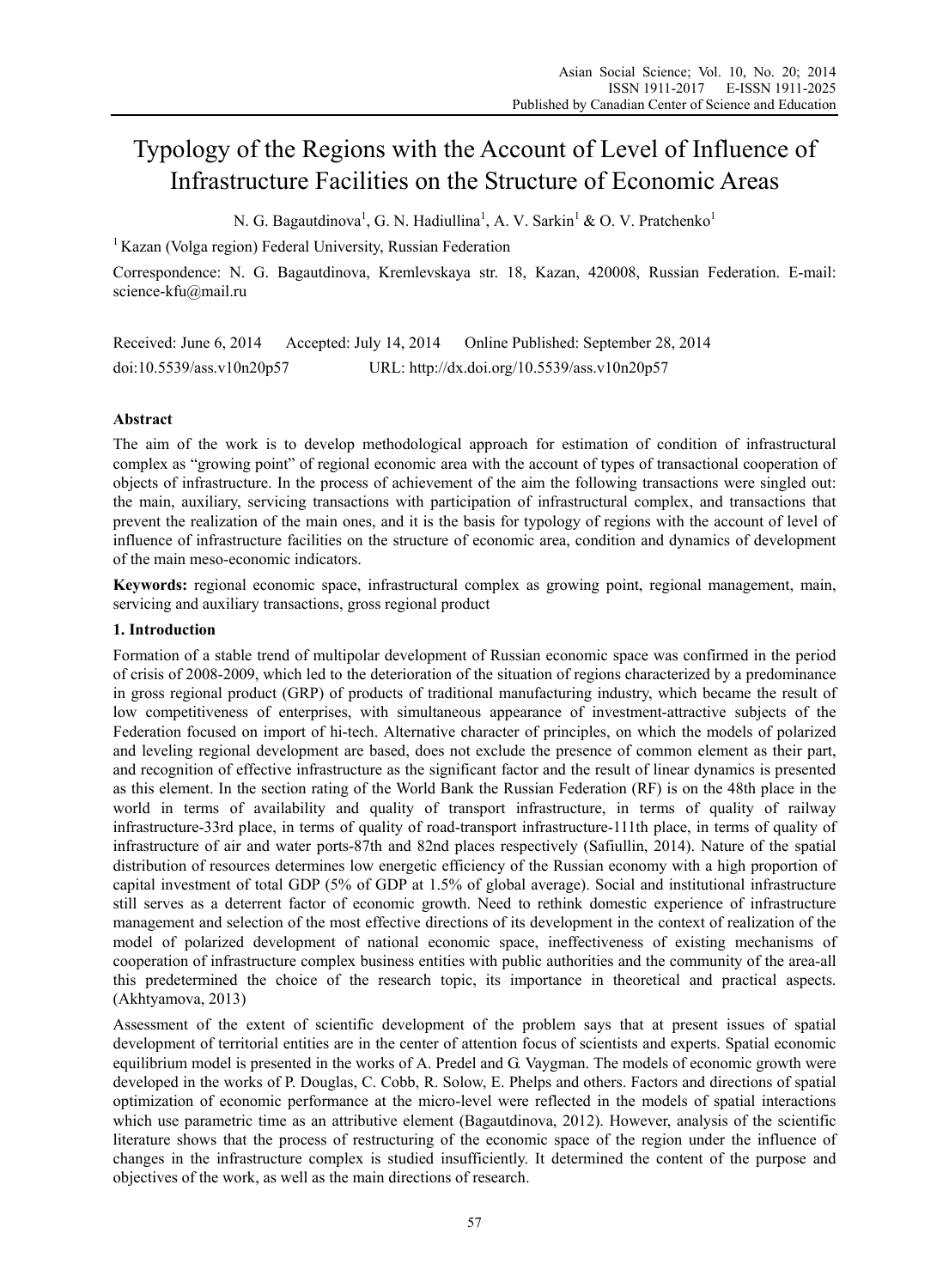# Typology of the Regions with the Account of Level of Influence of Infrastructure Facilities on the Structure of Economic Areas

N. G. Bagautdinova<sup>1</sup>, G. N. Hadiullina<sup>1</sup>, A. V. Sarkin<sup>1</sup> & O. V. Pratchenko<sup>1</sup>

<sup>1</sup> Kazan (Volga region) Federal University, Russian Federation

Correspondence: N. G. Bagautdinova, Kremlevskaya str. 18, Kazan, 420008, Russian Federation. E-mail: science-kfu@mail.ru

Received: June 6, 2014 Accepted: July 14, 2014 Online Published: September 28, 2014 doi:10.5539/ass.v10n20p57 URL: http://dx.doi.org/10.5539/ass.v10n20p57

# **Abstract**

The aim of the work is to develop methodological approach for estimation of condition of infrastructural complex as "growing point" of regional economic area with the account of types of transactional cooperation of objects of infrastructure. In the process of achievement of the aim the following transactions were singled out: the main, auxiliary, servicing transactions with participation of infrastructural complex, and transactions that prevent the realization of the main ones, and it is the basis for typology of regions with the account of level of influence of infrastructure facilities on the structure of economic area, condition and dynamics of development of the main meso-economic indicators.

**Keywords:** regional economic space, infrastructural complex as growing point, regional management, main, servicing and auxiliary transactions, gross regional product

### **1. Introduction**

Formation of a stable trend of multipolar development of Russian economic space was confirmed in the period of crisis of 2008-2009, which led to the deterioration of the situation of regions characterized by a predominance in gross regional product (GRP) of products of traditional manufacturing industry, which became the result of low competitiveness of enterprises, with simultaneous appearance of investment-attractive subjects of the Federation focused on import of hi-tech. Alternative character of principles, on which the models of polarized and leveling regional development are based, does not exclude the presence of common element as their part, and recognition of effective infrastructure as the significant factor and the result of linear dynamics is presented as this element. In the section rating of the World Bank the Russian Federation (RF) is on the 48th place in the world in terms of availability and quality of transport infrastructure, in terms of quality of railway infrastructure-33rd place, in terms of quality of road-transport infrastructure-111th place, in terms of quality of infrastructure of air and water ports-87th and 82nd places respectively (Safiullin, 2014). Nature of the spatial distribution of resources determines low energetic efficiency of the Russian economy with a high proportion of capital investment of total GDP (5% of GDP at 1.5% of global average). Social and institutional infrastructure still serves as a deterrent factor of economic growth. Need to rethink domestic experience of infrastructure management and selection of the most effective directions of its development in the context of realization of the model of polarized development of national economic space, ineffectiveness of existing mechanisms of cooperation of infrastructure complex business entities with public authorities and the community of the area-all this predetermined the choice of the research topic, its importance in theoretical and practical aspects. (Akhtyamova, 2013)

Assessment of the extent of scientific development of the problem says that at present issues of spatial development of territorial entities are in the center of attention focus of scientists and experts. Spatial economic equilibrium model is presented in the works of A. Predel and G. Vaygman. The models of economic growth were developed in the works of P. Douglas, C. Cobb, R. Solow, E. Phelps and others. Factors and directions of spatial optimization of economic performance at the micro-level were reflected in the models of spatial interactions which use parametric time as an attributive element (Bagautdinova, 2012). However, analysis of the scientific literature shows that the process of restructuring of the economic space of the region under the influence of changes in the infrastructure complex is studied insufficiently. It determined the content of the purpose and objectives of the work, as well as the main directions of research.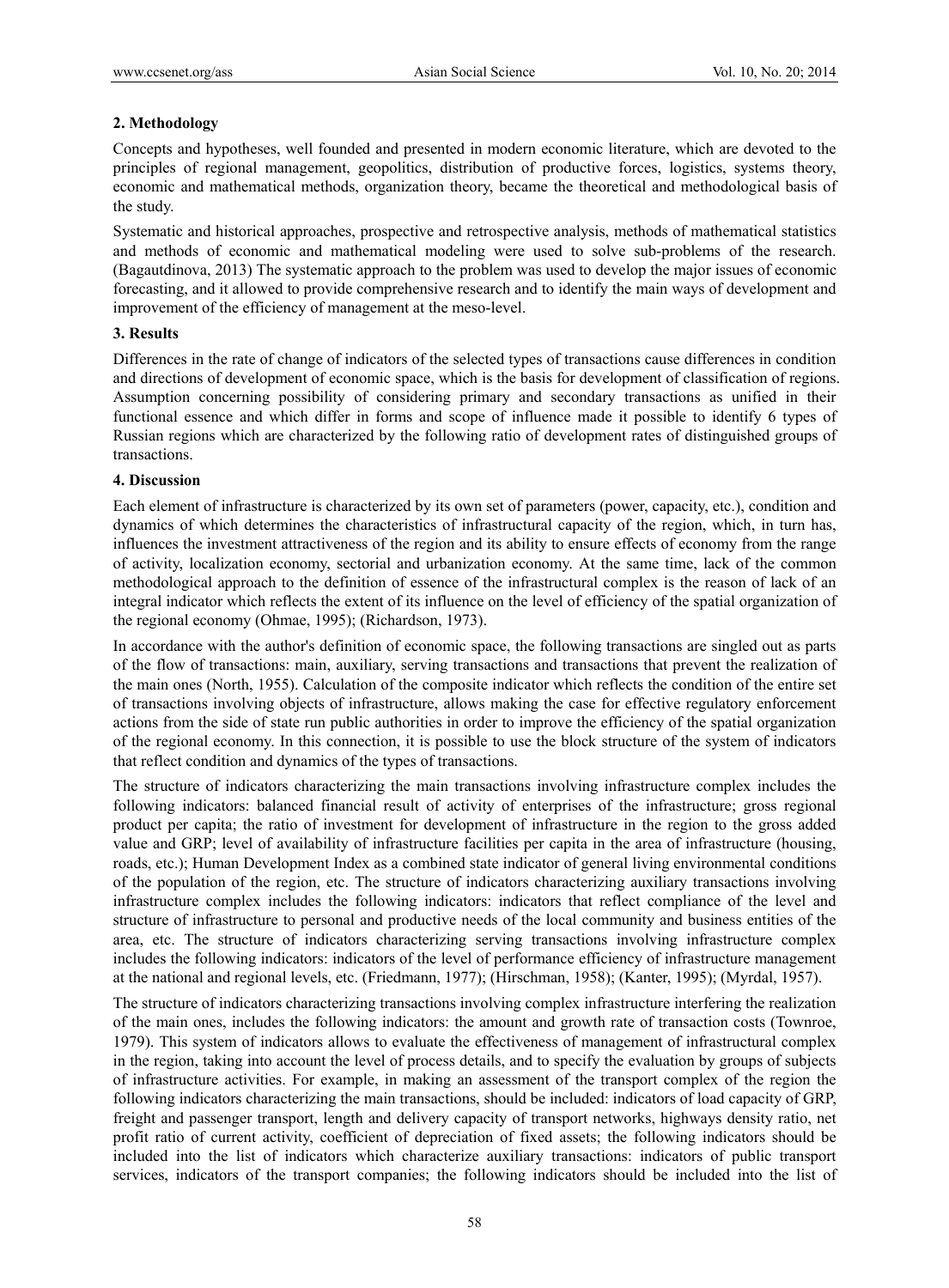## **2. Methodology**

Concepts and hypotheses, well founded and presented in modern economic literature, which are devoted to the principles of regional management, geopolitics, distribution of productive forces, logistics, systems theory, economic and mathematical methods, organization theory, became the theoretical and methodological basis of the study.

Systematic and historical approaches, prospective and retrospective analysis, methods of mathematical statistics and methods of economic and mathematical modeling were used to solve sub-problems of the research. (Bagautdinova, 2013) The systematic approach to the problem was used to develop the major issues of economic forecasting, and it allowed to provide comprehensive research and to identify the main ways of development and improvement of the efficiency of management at the meso-level.

## **3. Results**

Differences in the rate of change of indicators of the selected types of transactions cause differences in condition and directions of development of economic space, which is the basis for development of classification of regions. Assumption concerning possibility of considering primary and secondary transactions as unified in their functional essence and which differ in forms and scope of influence made it possible to identify 6 types of Russian regions which are characterized by the following ratio of development rates of distinguished groups of transactions.

### **4. Discussion**

Each element of infrastructure is characterized by its own set of parameters (power, capacity, etc.), condition and dynamics of which determines the characteristics of infrastructural capacity of the region, which, in turn has, influences the investment attractiveness of the region and its ability to ensure effects of economy from the range of activity, localization economy, sectorial and urbanization economy. At the same time, lack of the common methodological approach to the definition of essence of the infrastructural complex is the reason of lack of an integral indicator which reflects the extent of its influence on the level of efficiency of the spatial organization of the regional economy (Ohmae, 1995); (Richardson, 1973).

In accordance with the author's definition of economic space, the following transactions are singled out as parts of the flow of transactions: main, auxiliary, serving transactions and transactions that prevent the realization of the main ones (North, 1955). Calculation of the composite indicator which reflects the condition of the entire set of transactions involving objects of infrastructure, allows making the case for effective regulatory enforcement actions from the side of state run public authorities in order to improve the efficiency of the spatial organization of the regional economy. In this connection, it is possible to use the block structure of the system of indicators that reflect condition and dynamics of the types of transactions.

The structure of indicators characterizing the main transactions involving infrastructure complex includes the following indicators: balanced financial result of activity of enterprises of the infrastructure; gross regional product per capita; the ratio of investment for development of infrastructure in the region to the gross added value and GRP; level of availability of infrastructure facilities per capita in the area of infrastructure (housing, roads, etc.); Human Development Index as a combined state indicator of general living environmental conditions of the population of the region, etc. The structure of indicators characterizing auxiliary transactions involving infrastructure complex includes the following indicators: indicators that reflect compliance of the level and structure of infrastructure to personal and productive needs of the local community and business entities of the area, etc. The structure of indicators characterizing serving transactions involving infrastructure complex includes the following indicators: indicators of the level of performance efficiency of infrastructure management at the national and regional levels, etc. (Friedmann, 1977); (Hirschman, 1958); (Kanter, 1995); (Myrdal, 1957).

The structure of indicators characterizing transactions involving complex infrastructure interfering the realization of the main ones, includes the following indicators: the amount and growth rate of transaction costs (Townroe, 1979). This system of indicators allows to evaluate the effectiveness of management of infrastructural complex in the region, taking into account the level of process details, and to specify the evaluation by groups of subjects of infrastructure activities. For example, in making an assessment of the transport complex of the region the following indicators characterizing the main transactions, should be included: indicators of load capacity of GRP, freight and passenger transport, length and delivery capacity of transport networks, highways density ratio, net profit ratio of current activity, coefficient of depreciation of fixed assets; the following indicators should be included into the list of indicators which characterize auxiliary transactions: indicators of public transport services, indicators of the transport companies; the following indicators should be included into the list of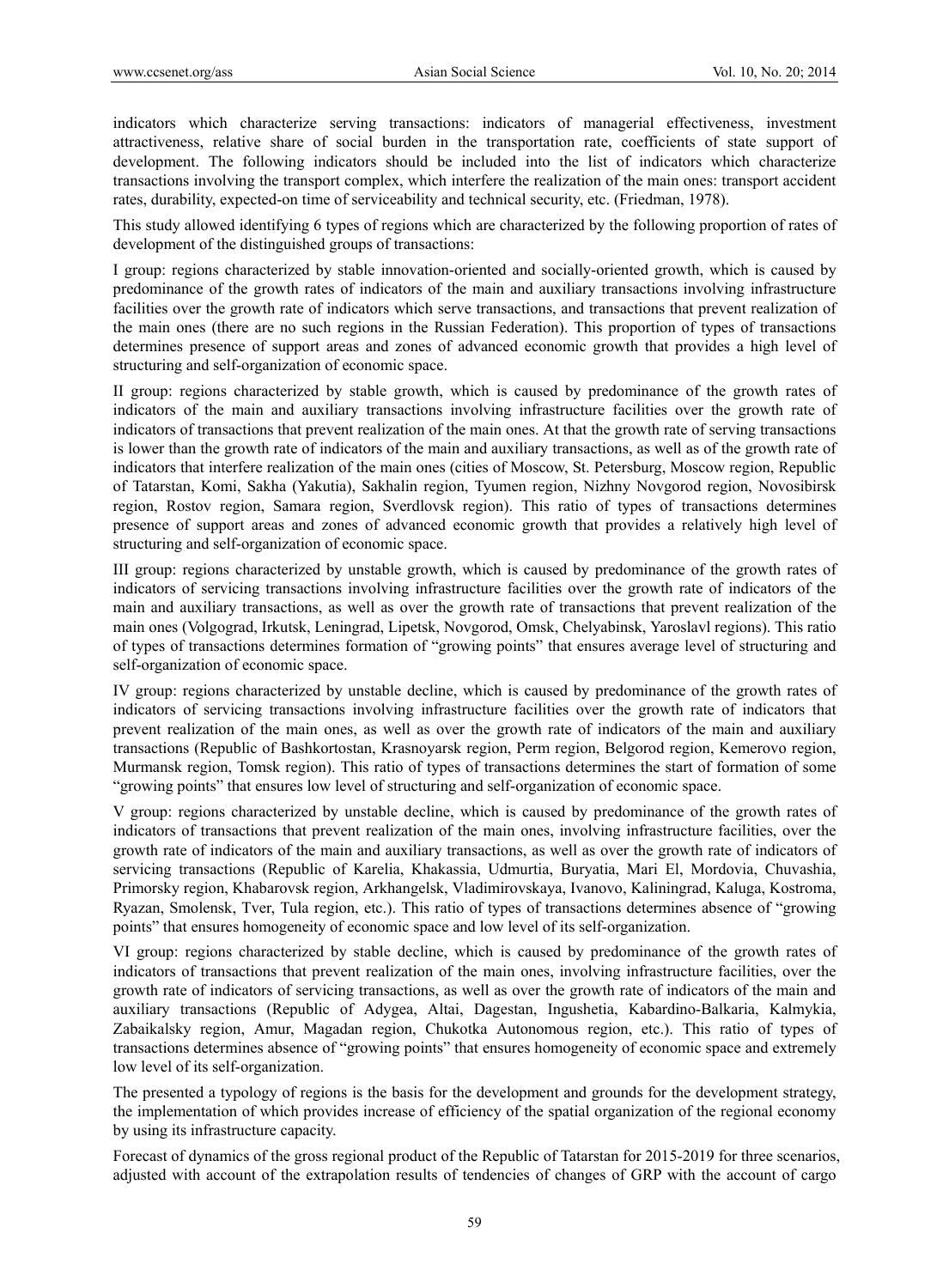indicators which characterize serving transactions: indicators of managerial effectiveness, investment attractiveness, relative share of social burden in the transportation rate, coefficients of state support of development. The following indicators should be included into the list of indicators which characterize transactions involving the transport complex, which interfere the realization of the main ones: transport accident rates, durability, expected-on time of serviceability and technical security, etc. (Friedman, 1978).

This study allowed identifying 6 types of regions which are characterized by the following proportion of rates of development of the distinguished groups of transactions:

I group: regions characterized by stable innovation-oriented and socially-oriented growth, which is caused by predominance of the growth rates of indicators of the main and auxiliary transactions involving infrastructure facilities over the growth rate of indicators which serve transactions, and transactions that prevent realization of the main ones (there are no such regions in the Russian Federation). This proportion of types of transactions determines presence of support areas and zones of advanced economic growth that provides a high level of structuring and self-organization of economic space.

II group: regions characterized by stable growth, which is caused by predominance of the growth rates of indicators of the main and auxiliary transactions involving infrastructure facilities over the growth rate of indicators of transactions that prevent realization of the main ones. At that the growth rate of serving transactions is lower than the growth rate of indicators of the main and auxiliary transactions, as well as of the growth rate of indicators that interfere realization of the main ones (cities of Moscow, St. Petersburg, Moscow region, Republic of Tatarstan, Komi, Sakha (Yakutia), Sakhalin region, Tyumen region, Nizhny Novgorod region, Novosibirsk region, Rostov region, Samara region, Sverdlovsk region). This ratio of types of transactions determines presence of support areas and zones of advanced economic growth that provides a relatively high level of structuring and self-organization of economic space.

III group: regions characterized by unstable growth, which is caused by predominance of the growth rates of indicators of servicing transactions involving infrastructure facilities over the growth rate of indicators of the main and auxiliary transactions, as well as over the growth rate of transactions that prevent realization of the main ones (Volgograd, Irkutsk, Leningrad, Lipetsk, Novgorod, Omsk, Chelyabinsk, Yaroslavl regions). This ratio of types of transactions determines formation of "growing points" that ensures average level of structuring and self-organization of economic space.

IV group: regions characterized by unstable decline, which is caused by predominance of the growth rates of indicators of servicing transactions involving infrastructure facilities over the growth rate of indicators that prevent realization of the main ones, as well as over the growth rate of indicators of the main and auxiliary transactions (Republic of Bashkortostan, Krasnoyarsk region, Perm region, Belgorod region, Kemerovo region, Murmansk region, Tomsk region). This ratio of types of transactions determines the start of formation of some "growing points" that ensures low level of structuring and self-organization of economic space.

V group: regions characterized by unstable decline, which is caused by predominance of the growth rates of indicators of transactions that prevent realization of the main ones, involving infrastructure facilities, over the growth rate of indicators of the main and auxiliary transactions, as well as over the growth rate of indicators of servicing transactions (Republic of Karelia, Khakassia, Udmurtia, Buryatia, Mari El, Mordovia, Chuvashia, Primorsky region, Khabarovsk region, Arkhangelsk, Vladimirovskaya, Ivanovo, Kaliningrad, Kaluga, Kostroma, Ryazan, Smolensk, Tver, Tula region, etc.). This ratio of types of transactions determines absence of "growing points" that ensures homogeneity of economic space and low level of its self-organization.

VI group: regions characterized by stable decline, which is caused by predominance of the growth rates of indicators of transactions that prevent realization of the main ones, involving infrastructure facilities, over the growth rate of indicators of servicing transactions, as well as over the growth rate of indicators of the main and auxiliary transactions (Republic of Adygea, Altai, Dagestan, Ingushetia, Kabardino-Balkaria, Kalmykia, Zabaikalsky region, Amur, Magadan region, Chukotka Autonomous region, etc.). This ratio of types of transactions determines absence of "growing points" that ensures homogeneity of economic space and extremely low level of its self-organization.

The presented a typology of regions is the basis for the development and grounds for the development strategy, the implementation of which provides increase of efficiency of the spatial organization of the regional economy by using its infrastructure capacity.

Forecast of dynamics of the gross regional product of the Republic of Tatarstan for 2015-2019 for three scenarios, adjusted with account of the extrapolation results of tendencies of changes of GRP with the account of cargo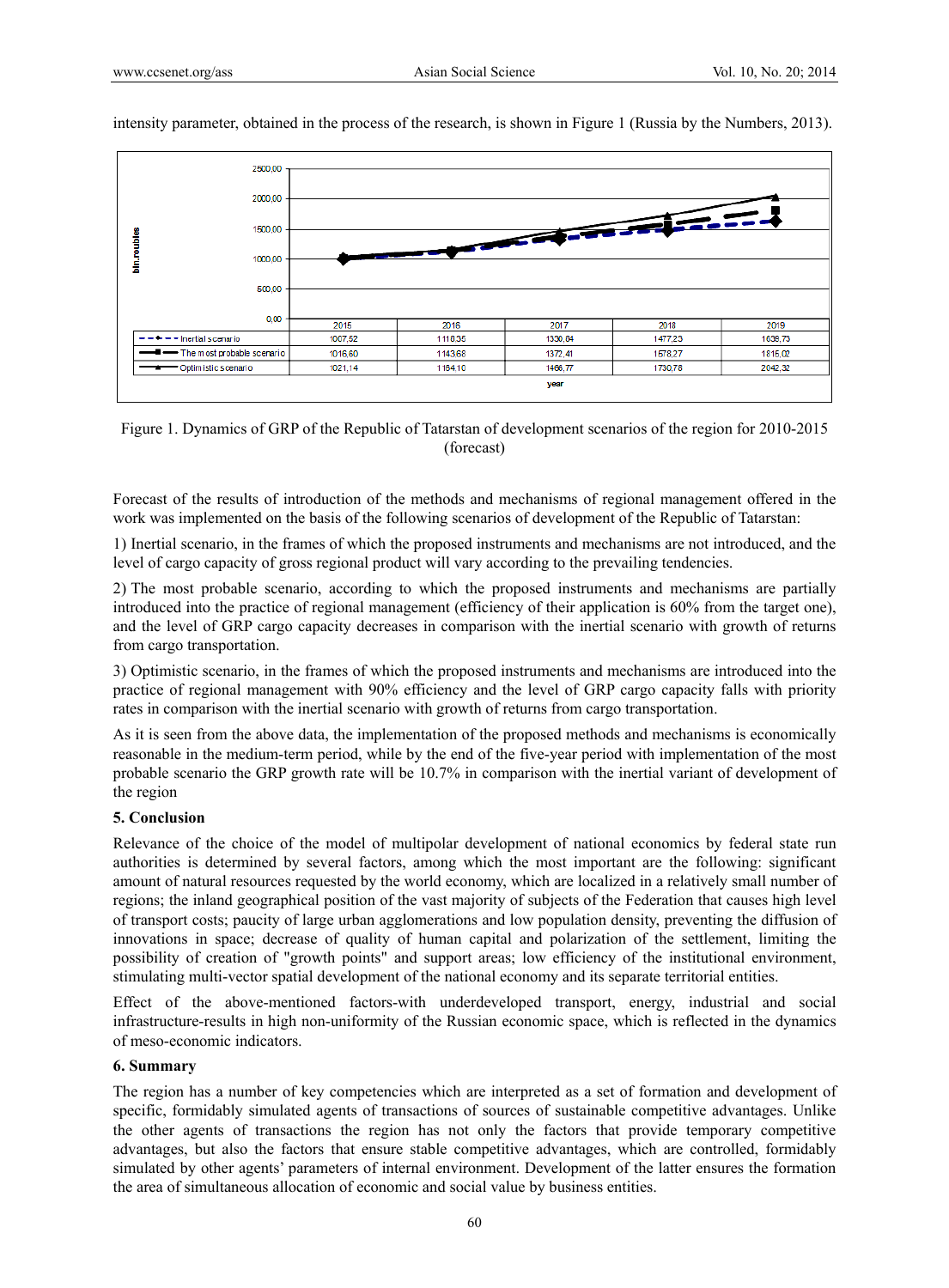

intensity parameter, obtained in the process of the research, is shown in Figure 1 (Russia by the Numbers, 2013).

Figure 1. Dynamics of GRP of the Republic of Tatarstan of development scenarios of the region for 2010-2015 (forecast)

Forecast of the results of introduction of the methods and mechanisms of regional management offered in the work was implemented on the basis of the following scenarios of development of the Republic of Tatarstan:

1) Inertial scenario, in the frames of which the proposed instruments and mechanisms are not introduced, and the level of cargo capacity of gross regional product will vary according to the prevailing tendencies.

2) The most probable scenario, according to which the proposed instruments and mechanisms are partially introduced into the practice of regional management (efficiency of their application is 60% from the target one), and the level of GRP cargo capacity decreases in comparison with the inertial scenario with growth of returns from cargo transportation.

3) Optimistic scenario, in the frames of which the proposed instruments and mechanisms are introduced into the practice of regional management with 90% efficiency and the level of GRP cargo capacity falls with priority rates in comparison with the inertial scenario with growth of returns from cargo transportation.

As it is seen from the above data, the implementation of the proposed methods and mechanisms is economically reasonable in the medium-term period, while by the end of the five-year period with implementation of the most probable scenario the GRP growth rate will be 10.7% in comparison with the inertial variant of development of the region

### **5. Conclusion**

Relevance of the choice of the model of multipolar development of national economics by federal state run authorities is determined by several factors, among which the most important are the following: significant amount of natural resources requested by the world economy, which are localized in a relatively small number of regions; the inland geographical position of the vast majority of subjects of the Federation that causes high level of transport costs; paucity of large urban agglomerations and low population density, preventing the diffusion of innovations in space; decrease of quality of human capital and polarization of the settlement, limiting the possibility of creation of "growth points" and support areas; low efficiency of the institutional environment, stimulating multi-vector spatial development of the national economy and its separate territorial entities.

Effect of the above-mentioned factors-with underdeveloped transport, energy, industrial and social infrastructure-results in high non-uniformity of the Russian economic space, which is reflected in the dynamics of meso-economic indicators.

#### **6. Summary**

The region has a number of key competencies which are interpreted as a set of formation and development of specific, formidably simulated agents of transactions of sources of sustainable competitive advantages. Unlike the other agents of transactions the region has not only the factors that provide temporary competitive advantages, but also the factors that ensure stable competitive advantages, which are controlled, formidably simulated by other agents' parameters of internal environment. Development of the latter ensures the formation the area of simultaneous allocation of economic and social value by business entities.